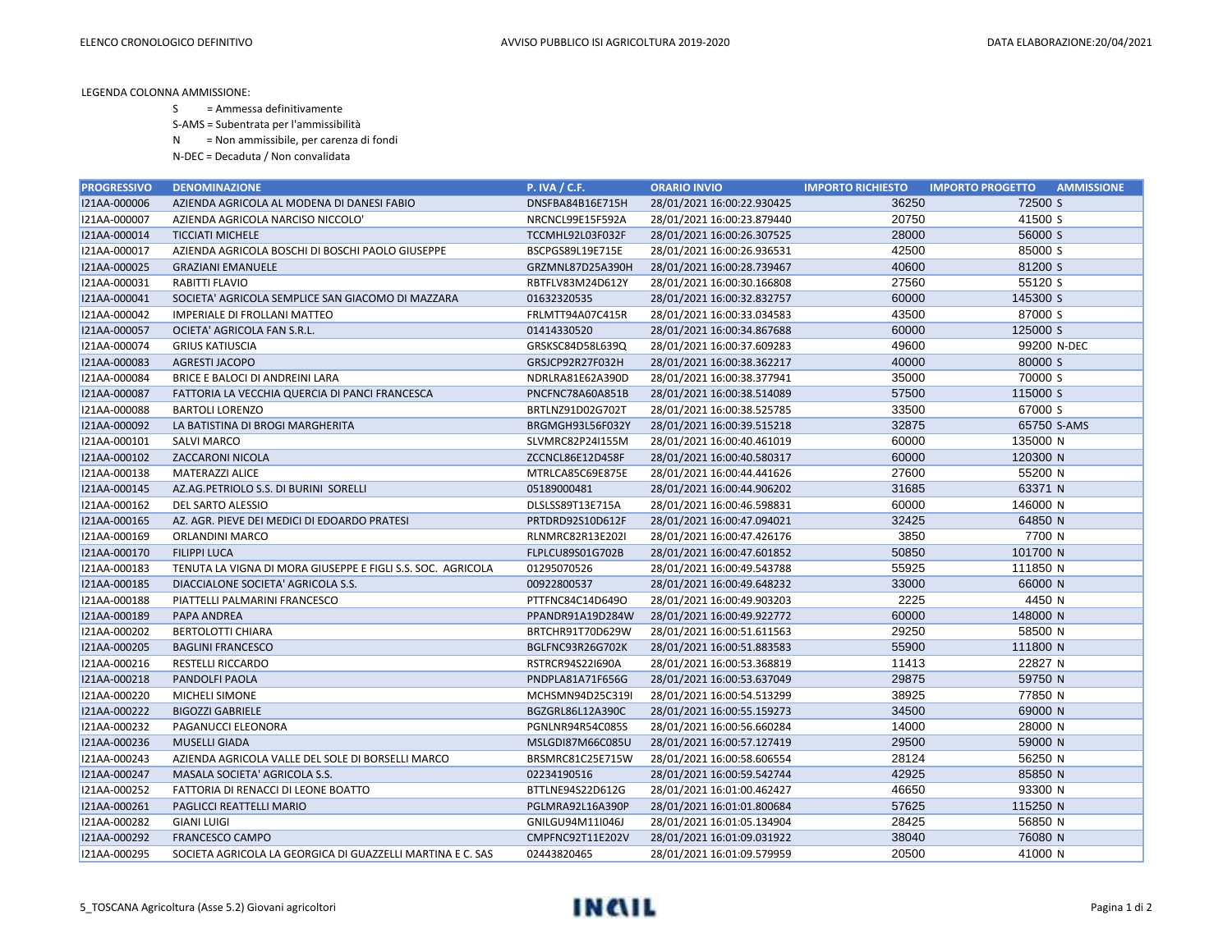LEGENDA COLONNA AMMISSIONE:

S = Ammessa definitivamente

S-AMS = Subentrata per l'ammissibilità

N = Non ammissibile, per carenza di fondi

N-DEC = Decaduta / Non convalidata

| <b>PROGRESSIVO</b> | <b>DENOMINAZIONE</b>                                        | <b>P. IVA / C.F.</b> | <b>ORARIO INVIO</b>        | <b>IMPORTO RICHIESTO</b> | <b>IMPORTO PROGETTO</b><br><b>AMMISSIONE</b> |
|--------------------|-------------------------------------------------------------|----------------------|----------------------------|--------------------------|----------------------------------------------|
| I21AA-000006       | AZIENDA AGRICOLA AL MODENA DI DANESI FABIO                  | DNSFBA84B16E715H     | 28/01/2021 16:00:22.930425 | 36250                    | 72500 S                                      |
| I21AA-000007       | AZIENDA AGRICOLA NARCISO NICCOLO'                           | NRCNCL99E15F592A     | 28/01/2021 16:00:23.879440 | 20750                    | 41500 S                                      |
| I21AA-000014       | <b>TICCIATI MICHELE</b>                                     | TCCMHL92L03F032F     | 28/01/2021 16:00:26.307525 | 28000                    | 56000 S                                      |
| I21AA-000017       | AZIENDA AGRICOLA BOSCHI DI BOSCHI PAOLO GIUSEPPE            | BSCPGS89L19E715E     | 28/01/2021 16:00:26.936531 | 42500                    | 85000 S                                      |
| I21AA-000025       | <b>GRAZIANI EMANUELE</b>                                    | GRZMNL87D25A390H     | 28/01/2021 16:00:28.739467 | 40600                    | 81200 S                                      |
| I21AA-000031       | RABITTI FLAVIO                                              | RBTFLV83M24D612Y     | 28/01/2021 16:00:30.166808 | 27560                    | 55120 S                                      |
| I21AA-000041       | SOCIETA' AGRICOLA SEMPLICE SAN GIACOMO DI MAZZARA           | 01632320535          | 28/01/2021 16:00:32.832757 | 60000                    | 145300 S                                     |
| I21AA-000042       | <b>IMPERIALE DI FROLLANI MATTEO</b>                         | FRLMTT94A07C415R     | 28/01/2021 16:00:33.034583 | 43500                    | 87000 S                                      |
| I21AA-000057       | OCIETA' AGRICOLA FAN S.R.L.                                 | 01414330520          | 28/01/2021 16:00:34.867688 | 60000                    | 125000 S                                     |
| I21AA-000074       | <b>GRIUS KATIUSCIA</b>                                      | GRSKSC84D58L639Q     | 28/01/2021 16:00:37.609283 | 49600                    | 99200 N-DEC                                  |
| I21AA-000083       | AGRESTI JACOPO                                              | GRSJCP92R27F032H     | 28/01/2021 16:00:38.362217 | 40000                    | 80000 S                                      |
| I21AA-000084       | BRICE E BALOCI DI ANDREINI LARA                             | NDRLRA81E62A390D     | 28/01/2021 16:00:38.377941 | 35000                    | 70000 S                                      |
| I21AA-000087       | FATTORIA LA VECCHIA QUERCIA DI PANCI FRANCESCA              | PNCFNC78A60A851B     | 28/01/2021 16:00:38.514089 | 57500                    | 115000 S                                     |
| I21AA-000088       | <b>BARTOLI LORENZO</b>                                      | BRTLNZ91D02G702T     | 28/01/2021 16:00:38.525785 | 33500                    | 67000 S                                      |
| I21AA-000092       | LA BATISTINA DI BROGI MARGHERITA                            | BRGMGH93L56F032Y     | 28/01/2021 16:00:39.515218 | 32875                    | 65750 S-AMS                                  |
| I21AA-000101       | <b>SALVI MARCO</b>                                          | SLVMRC82P24I155M     | 28/01/2021 16:00:40.461019 | 60000                    | 135000 N                                     |
| I21AA-000102       | ZACCARONI NICOLA                                            | ZCCNCL86E12D458F     | 28/01/2021 16:00:40.580317 | 60000                    | 120300 N                                     |
| I21AA-000138       | <b>MATERAZZI ALICE</b>                                      | MTRLCA85C69E875E     | 28/01/2021 16:00:44.441626 | 27600                    | 55200 N                                      |
| I21AA-000145       | AZ.AG.PETRIOLO S.S. DI BURINI SORELLI                       | 05189000481          | 28/01/2021 16:00:44.906202 | 31685                    | 63371 N                                      |
| I21AA-000162       | DEL SARTO ALESSIO                                           | DLSLSS89T13E715A     | 28/01/2021 16:00:46.598831 | 60000                    | 146000 N                                     |
| I21AA-000165       | AZ. AGR. PIEVE DEI MEDICI DI EDOARDO PRATESI                | PRTDRD92S10D612F     | 28/01/2021 16:00:47.094021 | 32425                    | 64850 N                                      |
| I21AA-000169       | ORLANDINI MARCO                                             | RLNMRC82R13E202I     | 28/01/2021 16:00:47.426176 | 3850                     | 7700 N                                       |
| I21AA-000170       | <b>FILIPPI LUCA</b>                                         | FLPLCU89S01G702B     | 28/01/2021 16:00:47.601852 | 50850                    | 101700 N                                     |
| I21AA-000183       | TENUTA LA VIGNA DI MORA GIUSEPPE E FIGLI S.S. SOC. AGRICOLA | 01295070526          | 28/01/2021 16:00:49.543788 | 55925                    | 111850 N                                     |
| I21AA-000185       | DIACCIALONE SOCIETA' AGRICOLA S.S.                          | 00922800537          | 28/01/2021 16:00:49.648232 | 33000                    | 66000 N                                      |
| I21AA-000188       | PIATTELLI PALMARINI FRANCESCO                               | PTTFNC84C14D649O     | 28/01/2021 16:00:49.903203 | 2225                     | 4450 N                                       |
| I21AA-000189       | PAPA ANDREA                                                 | PPANDR91A19D284W     | 28/01/2021 16:00:49.922772 | 60000                    | 148000 N                                     |
| I21AA-000202       | <b>BERTOLOTTI CHIARA</b>                                    | BRTCHR91T70D629W     | 28/01/2021 16:00:51.611563 | 29250                    | 58500 N                                      |
| I21AA-000205       | <b>BAGLINI FRANCESCO</b>                                    | BGLFNC93R26G702K     | 28/01/2021 16:00:51.883583 | 55900                    | 111800 N                                     |
| I21AA-000216       | <b>RESTELLI RICCARDO</b>                                    | RSTRCR94S22I690A     | 28/01/2021 16:00:53.368819 | 11413                    | 22827 N                                      |
| I21AA-000218       | PANDOLFI PAOLA                                              | PNDPLA81A71F656G     | 28/01/2021 16:00:53.637049 | 29875                    | 59750 N                                      |
| I21AA-000220       | MICHELI SIMONE                                              | MCHSMN94D25C319I     | 28/01/2021 16:00:54.513299 | 38925                    | 77850 N                                      |
| I21AA-000222       | <b>BIGOZZI GABRIELE</b>                                     | BGZGRL86L12A390C     | 28/01/2021 16:00:55.159273 | 34500                    | 69000 N                                      |
| I21AA-000232       | PAGANUCCI ELEONORA                                          | PGNLNR94R54C085S     | 28/01/2021 16:00:56.660284 | 14000                    | 28000 N                                      |
| I21AA-000236       | <b>MUSELLI GIADA</b>                                        | MSLGDI87M66C085U     | 28/01/2021 16:00:57.127419 | 29500                    | 59000 N                                      |
| I21AA-000243       | AZIENDA AGRICOLA VALLE DEL SOLE DI BORSELLI MARCO           | BRSMRC81C25E715W     | 28/01/2021 16:00:58.606554 | 28124                    | 56250 N                                      |
| I21AA-000247       | MASALA SOCIETA' AGRICOLA S.S.                               | 02234190516          | 28/01/2021 16:00:59.542744 | 42925                    | 85850 N                                      |
| I21AA-000252       | FATTORIA DI RENACCI DI LEONE BOATTO                         | BTTLNE94S22D612G     | 28/01/2021 16:01:00.462427 | 46650                    | 93300 N                                      |
| I21AA-000261       | PAGLICCI REATTELLI MARIO                                    | PGLMRA92L16A390P     | 28/01/2021 16:01:01.800684 | 57625                    | 115250 N                                     |
| I21AA-000282       | <b>GIANI LUIGI</b>                                          | GNILGU94M11I046J     | 28/01/2021 16:01:05.134904 | 28425                    | 56850 N                                      |
| I21AA-000292       | <b>FRANCESCO CAMPO</b>                                      | CMPFNC92T11E202V     | 28/01/2021 16:01:09.031922 | 38040                    | 76080 N                                      |
| I21AA-000295       | SOCIETA AGRICOLA LA GEORGICA DI GUAZZELLI MARTINA E C. SAS  | 02443820465          | 28/01/2021 16:01:09.579959 | 20500                    | 41000 N                                      |